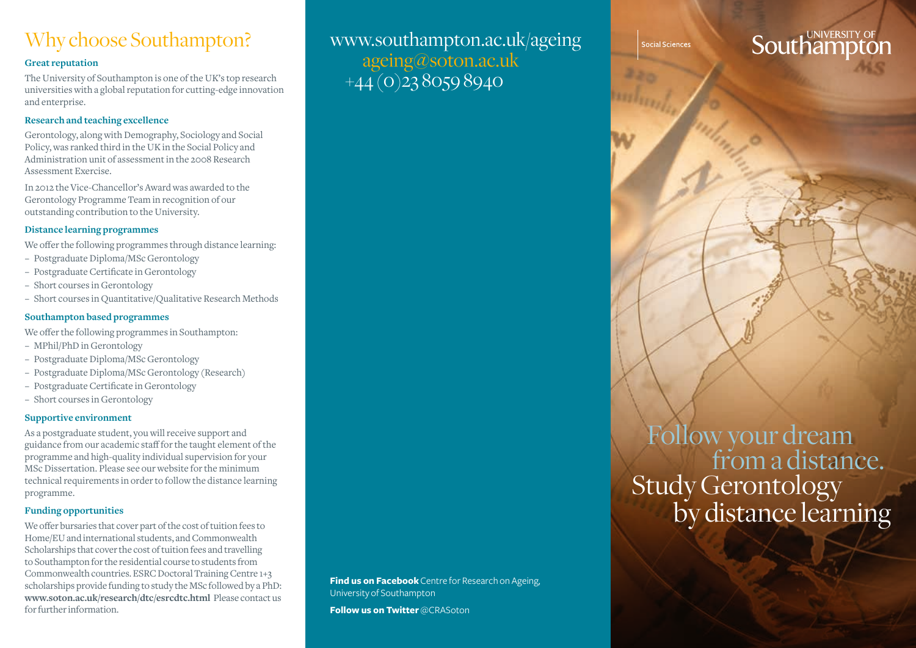## Why choose Southampton?

### **Great reputation**

The University of Southampton is one of the UK's top research universities with a global reputation for cutting-edge innovation and enterprise.

### **Research and teaching excellence**

Gerontology, along with Demography, Sociology and Social Policy, was ranked third in the UK in the Social Policy and Administration unit of assessment in the 2008 Research Assessment Exercise.

In 2012 the Vice-Chancellor's Award was awarded to the Gerontology Programme Team in recognition of our outstanding contribution to the University.

### **Distance learning programmes**

We offer the following programmes through distance learning:

- − Postgraduate Diploma/MSc Gerontology
- − Postgraduate Certificate in Gerontology
- − Short courses in Gerontology
- − Short courses in Quantitative/Qualitative Research Methods

### **Southampton based programmes**

We offer the following programmes in Southampton:

- − MPhil/PhD in Gerontology
- − Postgraduate Diploma/MSc Gerontology
- − Postgraduate Diploma/MSc Gerontology (Research)
- − Postgraduate Certificate in Gerontology
- − Short courses in Gerontology

### **Supportive environment**

As a postgraduate student, you will receive support and guidance from our academic staff for the taught element of the programme and high-quality individual supervision for your MSc Dissertation. Please see our website for the minimum technical requirements in order to follow the distance learning programme.

### **Funding opportunities**

We offer bursaries that cover part of the cost of tuition fees to Home/EU and international students, and Commonwealth Scholarships that cover the cost of tuition fees and travelling to Southampton for the residential course to students from Commonwealth countries. ESRC Doctoral Training Centre 1+3 scholarships provide funding to study the MSc followed by a PhD: **www.soton.ac.uk/research/dtc/esrcdtc.html** Please contact us for further information.

www.southampton.ac.uk/ageing ageing@soton.ac.uk  $+\overline{44}$  (0)2380598940

social Sciences

# **Southampto**

 Followyour dream **Second** from a distance. Study Gerontology<br>by distance learning

**Find us on Facebook** Centre for Research on Ageing, University of Southampton

**Follow us on Twitter** @CRASoton